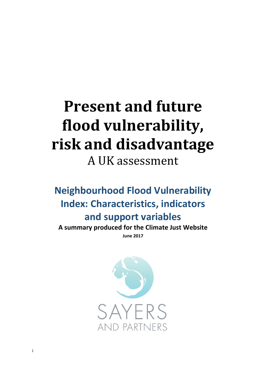# **Present and future flood vulnerability, risk and disadvantage** A UK assessment

**Neighbourhood Flood Vulnerability Index: Characteristics, indicators and support variables**

**A summary produced for the Climate Just Website June 2017**

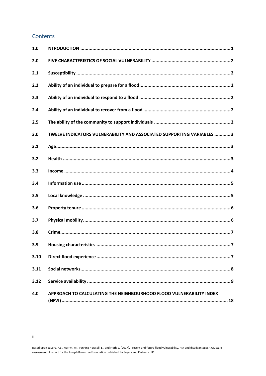## Contents

 $\mathbf{ii}$ 

| 1.0  |                                                                       |
|------|-----------------------------------------------------------------------|
| 2.0  |                                                                       |
| 2.1  |                                                                       |
| 2.2  |                                                                       |
| 2.3  |                                                                       |
| 2.4  |                                                                       |
| 2.5  |                                                                       |
| 3.0  | TWELVE INDICATORS VULNERABILITY AND ASSOCIATED SUPPORTING VARIABLES 3 |
| 3.1  |                                                                       |
| 3.2  |                                                                       |
| 3.3  |                                                                       |
| 3.4  |                                                                       |
| 3.5  |                                                                       |
| 3.6  |                                                                       |
| 3.7  |                                                                       |
| 3.8  |                                                                       |
| 3.9  |                                                                       |
| 3.10 |                                                                       |
| 3.11 |                                                                       |
| 3.12 |                                                                       |
| 4.0  | APPROACH TO CALCULATING THE NEIGHBOURHOOD FLOOD VULNERABILITY INDEX   |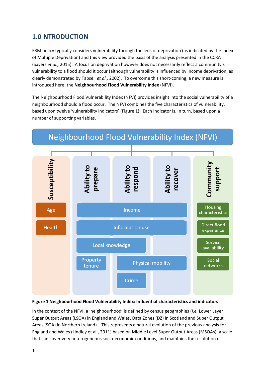# <span id="page-2-0"></span>**1.0 NTRODUCTION**

FRM policy typically considers vulnerability through the lens of deprivation (as indicated by the Index of Multiple Deprivation) and this view provided the basis of the analysis presented in the CCRA (Sayers *et al.,* 2015). A focus on deprivation however does not necessarily reflect a community's vulnerability to a flood should it occur (although vulnerability is influenced by income deprivation, as clearly demonstrated by Tapsell *et al.,* 2002). To overcome this short-coming, a new measure is introduced here: the **Neighbourhood Flood Vulnerability Index** (NFVI).

The Neighbourhood Flood Vulnerability Index (NFVI) provides insight into the social vulnerability of a neighbourhood should a flood occur. The NFVI combines the five characteristics of vulnerability, based upon twelve 'vulnerability indicators' (Figure 1). Each indicator is, in turn, based upon a number of supporting variables.



#### **Figure 1 Neighbourhood Flood Vulnerability Index: Influential characteristics and indicators**

In the context of the NFVI, a 'neighbourhood' is defined by census geographies (*i.e.* Lower Layer Super Output Areas (LSOA) in England and Wales, Data Zones (DZ) in Scotland and Super Output Areas (SOA) in Northern Ireland). This represents a natural evolution of the previous analysis for England and Wales (Lindley et al., 2011) based on Middle Level Super Output Areas (MSOAs); a scale that can cover very heterogeneous socio-economic conditions, and maintains the resolution of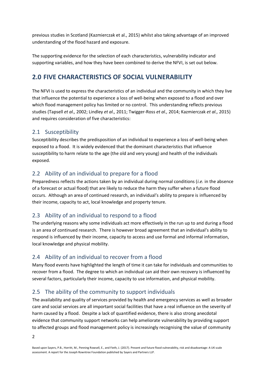previous studies in Scotland (Kazmierczak et al., 2015) whilst also taking advantage of an improved understanding of the flood hazard and exposure.

The supporting evidence for the selection of each characteristics, vulnerability indicator and supporting variables, and how they have been combined to derive the NFVI, is set out below.

# <span id="page-3-0"></span>**2.0 FIVE CHARACTERISTICS OF SOCIAL VULNERABILITY**

The NFVI is used to express the characteristics of an individual and the community in which they live that influence the potential to experience a loss of well-being when exposed to a flood and over which flood management policy has limited or no control. This understanding reflects previous studies (Tapsell *et al.,* 2002; Lindley *et al.,* 2011; Twigger-Ross *et al.,* 2014; Kazmierczak *et al.,* 2015) and requires consideration of five characteristics:

## <span id="page-3-1"></span>2.1 Susceptibility

Susceptibility describes the predisposition of an individual to experience a loss of well-being when exposed to a flood. It is widely evidenced that the dominant characteristics that influence susceptibility to harm relate to the age (the old and very young) and health of the individuals exposed.

## <span id="page-3-2"></span>2.2 Ability of an individual to prepare for a flood

Preparedness reflects the actions taken by an individual during normal conditions (*i.e.* in the absence of a forecast or actual flood) that are likely to reduce the harm they suffer when a future flood occurs. Although an area of continued research, an individual's ability to prepare is influenced by their income, capacity to act, local knowledge and property tenure.

## <span id="page-3-3"></span>2.3 Ability of an individual to respond to a flood

The underlying reasons why some individuals act more effectively in the run up to and during a flood is an area of continued research. There is however broad agreement that an individual's ability to respond is influenced by their income, capacity to access and use formal and informal information, local knowledge and physical mobility.

## <span id="page-3-4"></span>2.4 Ability of an individual to recover from a flood

Many flood events have highlighted the length of time it can take for individuals and communities to recover from a flood. The degree to which an individual can aid their own recovery is influenced by several factors, particularly their income, capacity to use information, and physical mobility.

## <span id="page-3-5"></span>2.5 The ability of the community to support individuals

The availability and quality of services provided by health and emergency services as well as broader care and social services are all important social facilities that have a real influence on the severity of harm caused by a flood. Despite a lack of quantified evidence, there is also strong anecdotal evidence that community support networks can help ameliorate vulnerability by providing support to affected groups and flood management policy is increasingly recognising the value of community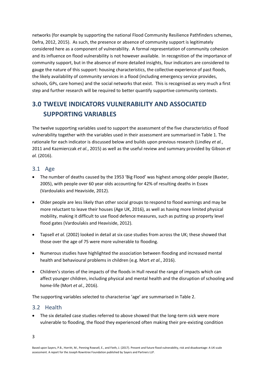networks (for example by supporting the national Flood Community Resilience Pathfinders schemes, Defra, 2012, 2015). As such, the presence or absence of community support is legitimately considered here as a component of vulnerability. A formal representation of community cohesion and its influence on flood vulnerability is not however available. In recognition of the importance of community support, but in the absence of more detailed insights, four indicators are considered to gauge the nature of this support: housing characteristics, the collective experience of past floods, the likely availability of community services in a flood (including emergency service provides, schools, GPs, care homes) and the social networks that exist. This is recognised as very much a first step and further research will be required to better quantify supportive community contexts.

# <span id="page-4-0"></span>**3.0 TWELVE INDICATORS VULNERABILITY AND ASSOCIATED SUPPORTING VARIABLES**

The twelve supporting variables used to support the assessment of the five characteristics of flood vulnerability together with the variables used in their assessment are summarised in Table 1. The rationale for each indicator is discussed below and builds upon previous research (Lindley *et al.*, 2011 and Kazmierczak *et al.*, 2015) as well as the useful review and summary provided by Gibson *et al.* (2016).

## <span id="page-4-1"></span>3.1 Age

- The number of deaths caused by the 1953 'Big Flood' was highest among older people (Baxter, 2005), with people over 60 year olds accounting for 42% of resulting deaths in Essex (Vardoulakis and Heaviside, 2012).
- Older people are less likely than other social groups to respond to flood warnings and may be more reluctant to leave their houses (Age UK, 2016), as well as having more limited physical mobility, making it difficult to use flood defence measures, such as putting up property level flood gates (Vardoulakis and Heaviside, 2012).
- Tapsell *et al.* (2002) looked in detail at six case studies from across the UK; these showed that those over the age of 75 were more vulnerable to flooding.
- Numerous studies have highlighted the association between flooding and increased mental health and behavioural problems in children (e.g. Mort *et al.*, 2016).
- Children's stories of the impacts of the floods in Hull reveal the range of impacts which can affect younger children, including physical and mental health and the disruption of schooling and home-life (Mort *et al.*, 2016).

The supporting variables selected to characterise 'age' are summarised in Table 2.

#### <span id="page-4-2"></span>3.2 Health

• The six detailed case studies referred to above showed that the long-term sick were more vulnerable to flooding, the flood they experienced often making their pre-existing condition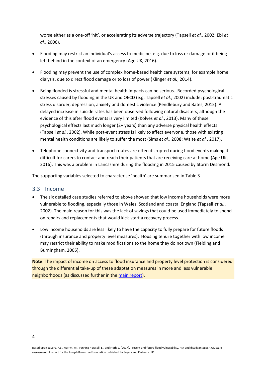worse either as a one-off 'hit', or accelerating its adverse trajectory (Tapsell *et al.*, 2002; Ebi *et al.*, 2006).

- Flooding may restrict an individual's access to medicine, e.g. due to loss or damage or it being left behind in the context of an emergency (Age UK, 2016).
- Flooding may prevent the use of complex home-based health care systems, for example home dialysis, due to direct flood damage or to loss of power (Klinger *et al.*, 2014).
- Being flooded is stressful and mental health impacts can be serious. Recorded psychological stresses caused by flooding in the UK and OECD (e.g. Tapsell *et al.*, 2002) include: post-traumatic stress disorder, depression, anxiety and domestic violence (Pendlebury and Bates, 2015). A delayed increase in suicide rates has been observed following natural disasters, although the evidence of this after flood events is very limited (Kolves *et al.*, 2013). Many of these psychological effects last much longer (2+ years) than any adverse physical health effects (Tapsell *et al.*, 2002). While post-event stress is likely to affect everyone, those with existing mental health conditions are likely to suffer the most (Sims *et al.*, 2008; Waite *et al.*, 2017).
- Telephone connectivity and transport routes are often disrupted during flood events making it difficult for carers to contact and reach their patients that are receiving care at home (Age UK, 2016). This was a problem in Lancashire during the flooding in 2015 caused by Storm Desmond.

The **s**upporting variables selected to characterise 'health' are summarised in Table 3

#### <span id="page-5-0"></span>3.3 Income

- The six detailed case studies referred to above showed that low income households were more vulnerable to flooding, especially those in Wales, Scotland and coastal England (Tapsell *et al.*, 2002). The main reason for this was the lack of savings that could be used immediately to spend on repairs and replacements that would kick-start a recovery process.
- Low income households are less likely to have the capacity to fully prepare for future floods (through insurance and property level measures). Housing tenure together with low income may restrict their ability to make modifications to the home they do not own (Fielding and Burningham, 2005).

**Note:** The impact of income on access to flood insurance and property level protection is considered through the differential take-up of these adaptation measures in more and less vulnerable neighborhoods (as discussed further in the [main report\)](http://www.sayersandpartners.co.uk/flood-disadvantage.html).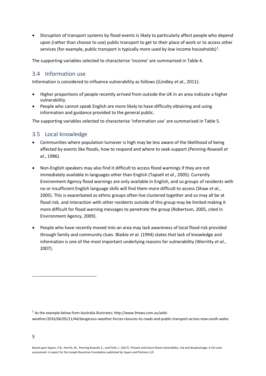• Disruption of transport systems by flood events is likely to particularly affect people who depend upon (rather than choose to use) public transport to get to their place of work or to access other services (for example, public transport is typically more used by low income households)<sup>1</sup>.

The supporting variables selected to characterise 'income' are summarised in Table 4.

## <span id="page-6-0"></span>3.4 Information use

Information is considered to influence vulnerability as follows ((Lindley *et al.*, 2011):

- Higher proportions of people recently arrived from outside the UK in an area indicate a higher vulnerability.
- People who cannot speak English are more likely to have difficulty obtaining and using information and guidance provided to the general public.

The supporting variables selected to characterise 'information use' are summarised in Table 5.

## <span id="page-6-1"></span>3.5 Local knowledge

- Communities where population turnover is high may be less aware of the likelihood of being affected by events like floods, how to respond and where to seek support (Penning-Rowsell *et al.*, 1986).
- Non-English speakers may also find it difficult to access flood warnings if they are not immediately available in languages other than English (Tapsell *et al.*, 2005). Currently Environment Agency flood warnings are only available in English, and so groups of residents with no or insufficient English language skills will find them more difficult to access (Shaw *et al.*, 2005). This is exacerbated as ethnic groups often live clustered together and so may all be at flood risk, and interaction with other residents outside of this group may be limited making it more difficult for flood warning messages to penetrate the group (Robertson, 2005, cited in Environment Agency, 2009).
- People who have recently moved into an area may lack awareness of local flood risk provided through family and community clues. Blaikie *et al.* (1994) states that lack of knowledge and information is one of the most important underlying reasons for vulnerability (Werritty *et al.*, 2007).

.

 $<sup>1</sup>$  As the example below from Australia illustrates: http://www.9news.com.au/wild-</sup> weather/2016/06/05/11/44/dangerous-weather-forces-closures-to-roads-and-public-transport-across-new-south-wales

Based upon Sayers, P.B., Horritt, M., Penning Rowsell, E., and Fieth, J. (2017). Present and future flood vulnerability, risk and disadvantage: A UK scale assessment. A report for the Joseph Rowntree Foundation published by Sayers and Partners LLP.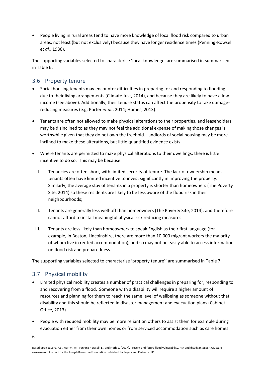• People living in rural areas tend to have more knowledge of local flood risk compared to urban areas, not least (but not exclusively) because they have longer residence times (Penning-Rowsell *et al.*, 1986).

The supporting variables selected to characterise 'local knowledge' are summarised in summarised in Table 6**.**

## <span id="page-7-0"></span>3.6 Property tenure

- Social housing tenants may encounter difficulties in preparing for and responding to flooding due to their living arrangements (Climate Just, 2014), and because they are likely to have a low income (see above). Additionally, their tenure status can affect the propensity to take damagereducing measures (e.g. Porter *et al.*, 2014; Homes, 2013).
- Tenants are often not allowed to make physical alterations to their properties, and leaseholders may be disinclined to as they may not feel the additional expense of making those changes is worthwhile given that they do not own the freehold. Landlords of social housing may be more inclined to make these alterations, but little quantified evidence exists.
- Where tenants are permitted to make physical alterations to their dwellings, there is little incentive to do so. This may be because:
	- I. Tenancies are often short, with limited security of tenure. The lack of ownership means tenants often have limited incentive to invest significantly in improving the property. Similarly, the average stay of tenants in a property is shorter than homeowners (The Poverty Site, 2014) so these residents are likely to be less aware of the flood risk in their neighbourhoods;
	- II. Tenants are generally less well-off than homeowners (The Poverty Site, 2014), and therefore cannot afford to install meaningful physical risk reducing measures.
	- III. Tenants are less likely than homeowners to speak English as their first language (for example, in Boston, Lincolnshire, there are more than 10,000 migrant workers the majority of whom live in rented accommodation), and so may not be easily able to access information on flood risk and preparedness.

The supporting variables selected to characterise 'property tenure'' are summarised in Table 7**.**

## <span id="page-7-1"></span>3.7 Physical mobility

- Limited physical mobility creates a number of practical challenges in preparing for, responding to and recovering from a flood. Someone with a disability will require a higher amount of resources and planning for them to reach the same level of wellbeing as someone without that disability and this should be reflected in disaster management and evacuation plans (Cabinet Office, 2013).
- People with reduced mobility may be more reliant on others to assist them for example during evacuation either from their own homes or from serviced accommodation such as care homes.
- 6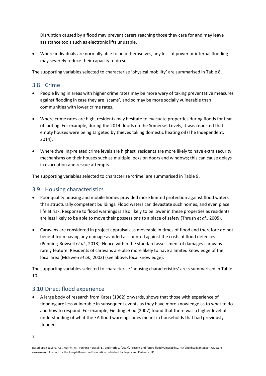Disruption caused by a flood may prevent carers reaching those they care for and may leave assistance tools such as electronic lifts unusable.

• Where individuals are normally able to help themselves, any loss of power or internal flooding may severely reduce their capacity to do so.

The supporting variables selected to characterise 'physical mobility' are summarised in Table 8**.**

## <span id="page-8-0"></span>3.8 Crime

- People living in areas with higher crime rates may be more wary of taking preventative measures against flooding in case they are 'scams', and so may be more socially vulnerable than communities with lower crime rates.
- Where crime rates are high, residents may hesitate to evacuate properties during floods for fear of looting. For example, during the 2014 floods on the Somerset Levels, it was reported that empty houses were being targeted by thieves taking domestic heating oil (The Independent, 2014).
- Where dwelling-related crime levels are highest, residents are more likely to have extra security mechanisms on their houses such as multiple locks on doors and windows; this can cause delays in evacuation and rescue attempts.

The supporting variables selected to characterise 'crime' are summarised in Table 9**.**

## <span id="page-8-1"></span>3.9 Housing characteristics

- Poor quality housing and mobile homes provided more limited protection against flood waters than structurally competent buildings. Flood waters can devastate such homes, and even place life at risk. Response to flood warnings is also likely to be lower in these properties as residents are less likely to be able to move their possessions to a place of safety (Thrush *et al.*, 2005).
- Caravans are considered in project appraisals as moveable in times of flood and therefore do not benefit from having any damage avoided as counted against the costs of flood defences (Penning-Rowsell *et al.*, 2013). Hence within the standard assessment of damages caravans rarely feature. Residents of caravans are also more likely to have a limited knowledge of the local area (McEwen *et al.*, 2002) (see above, local knowledge).

The supporting variables selected to characterise 'housing characteristics' are s summarised in Table 10**.**

#### <span id="page-8-2"></span>3.10 Direct flood experience

• A large body of research from Kates (1962) onwards, shows that those with experience of flooding are less vulnerable in subsequent events as they have more knowledge as to what to do and how to respond. For example, Fielding *et al.* (2007) found that there was a higher level of understanding of what the EA flood warning codes meant in households that had previously flooded.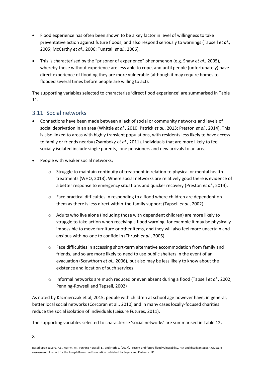- Flood experience has often been shown to be a key factor in level of willingness to take preventative action against future floods, and also respond seriously to warnings (Tapsell *et al.*, 2005; McCarthy *et al.*, 2006; Tunstall *et al.*, 2006).
- This is characterised by the "prisoner of experience" phenomenon (e.g. Shaw *et al.*, 2005), whereby those without experience are less able to cope, and until people (unfortunately) have direct experience of flooding they are more vulnerable (although it may require homes to flooded several times before people are willing to act).

The supporting variables selected to characterise 'direct flood experience' are summarised in Table 11**.**

## <span id="page-9-0"></span>3.11 Social networks

- Connections have been made between a lack of social or community networks and levels of social deprivation in an area (Whittle *et al.*, 2010; Patrick *et al.*, 2013; Preston *et al.*, 2014). This is also linked to areas with highly transient populations, with residents less likely to have access to family or friends nearby (Zsamboky *et al.*, 2011). Individuals that are more likely to feel socially isolated include single parents, lone pensioners and new arrivals to an area.
- People with weaker social networks;
	- o Struggle to maintain continuity of treatment in relation to physical or mental health treatments (WHO, 2013). Where social networks are relatively good there is evidence of a better response to emergency situations and quicker recovery (Preston *et al.*, 2014).
	- o Face practical difficulties in responding to a flood where children are dependent on them as there is less direct within-the-family support (Tapsell *et al.*, 2002).
	- o Adults who live alone (including those with dependent children) are more likely to struggle to take action when receiving a flood warning, for example it may be physically impossible to move furniture or other items, and they will also feel more uncertain and anxious with no-one to confide in (Thrush *et al.*, 2005).
	- o Face difficulties in accessing short-term alternative accommodation from family and friends, and so are more likely to need to use public shelters in the event of an evacuation (Scawthorn *et al.*, 2006), but also may be less likely to know about the existence and location of such services.
	- o Informal networks are much reduced or even absent during a flood (Tapsell *et al.*, 2002; Penning-Rowsell and Tapsell, 2002)

As noted by Kazmierczak et al, 2015, people with children at school age however have, in general, better local social networks (Corcoran et al., 2010) and in many cases locally-focused charities reduce the social isolation of individuals (Leisure Futures, 2011).

The supporting variables selected to characterise 'social networks' are summarised in Table 12**.**

8

Based upon Sayers, P.B., Horritt, M., Penning Rowsell, E., and Fieth, J. (2017). Present and future flood vulnerability, risk and disadvantage: A UK scale assessment. A report for the Joseph Rowntree Foundation published by Sayers and Partners LLP.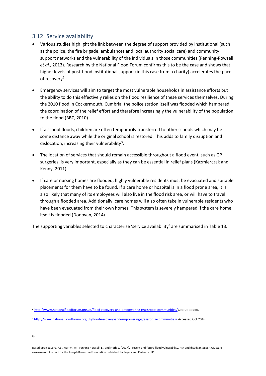## <span id="page-10-0"></span>3.12 Service availability

- Various studies highlight the link between the degree of support provided by institutional (such as the police, the fire brigade, ambulances and local authority social care) and community support networks and the vulnerability of the individuals in those communities (Penning-Rowsell *et al.*, 2013). Research by the National Flood Forum confirms this to be the case and shows that higher levels of post-flood institutional support (in this case from a charity) accelerates the pace of recovery<sup>2</sup>.
- Emergency services will aim to target the most vulnerable households in assistance efforts but the ability to do this effectively relies on the flood resilience of these services themselves. During the 2010 flood in Cockermouth, Cumbria, the police station itself was flooded which hampered the coordination of the relief effort and therefore increasingly the vulnerability of the population to the flood (BBC, 2010).
- If a school floods, children are often temporarily transferred to other schools which may be some distance away while the original school is restored. This adds to family disruption and dislocation, increasing their vulnerability<sup>3</sup>.
- The location of services that should remain accessible throughout a flood event, such as GP surgeries, is very important, especially as they can be essential in relief plans (Kazmierczak and Kenny, 2011).
- If care or nursing homes are flooded, highly vulnerable residents must be evacuated and suitable placements for them have to be found. If a care home or hospital is in a flood prone area, it is also likely that many of its employees will also live in the flood risk area, or will have to travel through a flooded area. Additionally, care homes will also often take in vulnerable residents who have been evacuated from their own homes. This system is severely hampered if the care home itself is flooded (Donovan, 2014).

The supporting variables selected to characterise 'service availability' are summarised in Table 13.

1

<sup>2</sup> <http://www.nationalfloodforum.org.uk/flood-recovery-and-empowering-grassroots-communities/> Accessed Oct 2016

<sup>3</sup> <http://www.nationalfloodforum.org.uk/flood-recovery-and-empowering-grassroots-communities/> Accessed Oct 2016

Based upon Sayers, P.B., Horritt, M., Penning Rowsell, E., and Fieth, J. (2017). Present and future flood vulnerability, risk and disadvantage: A UK scale assessment. A report for the Joseph Rowntree Foundation published by Sayers and Partners LLP.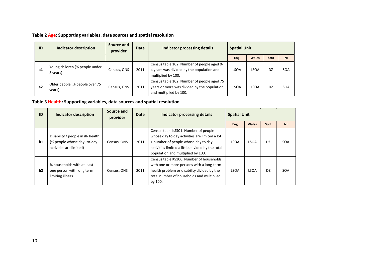**Table 2 Age: Supporting variables, data sources and spatial resolution**

| ID | <b>Indicator description</b>               | Source and<br>provider | <b>Date</b> | Indicator processing details                                                                                        | <b>Spatial Unit</b> |              |      |            |
|----|--------------------------------------------|------------------------|-------------|---------------------------------------------------------------------------------------------------------------------|---------------------|--------------|------|------------|
|    |                                            |                        |             |                                                                                                                     | <b>Eng</b>          | <b>Wales</b> | Scot | <b>NI</b>  |
| a1 | Young children (% people under<br>5 years) | Census, ONS            | 2011        | Census table 102. Number of people aged 0-<br>4 years was divided by the population and<br>multiplied by 100.       | <b>LSOA</b>         | <b>LSOA</b>  | DZ   | <b>SOA</b> |
| a2 | Older people (% people over 75<br>years)   | Census, ONS            | 2011        | Census table 102. Number of people aged 75<br>years or more was divided by the population<br>and multiplied by 100. | <b>LSOA</b>         | <b>LSOA</b>  | DZ   | <b>SOA</b> |

**Table 3 Health: Supporting variables, data sources and spatial resolution**

| ID | <b>Indicator description</b>                                                                  | Source and<br>provider | <b>Date</b> | Indicator processing details                                                                                                                                                                                           | <b>Spatial Unit</b> |              |                |            |
|----|-----------------------------------------------------------------------------------------------|------------------------|-------------|------------------------------------------------------------------------------------------------------------------------------------------------------------------------------------------------------------------------|---------------------|--------------|----------------|------------|
|    |                                                                                               |                        |             |                                                                                                                                                                                                                        | <b>Eng</b>          | <b>Wales</b> | Scot           | <b>NI</b>  |
| h1 | Disability / people in ill- health<br>(% people whose day- to-day)<br>activities are limited) | Census, ONS            | 2011        | Census table KS301. Number of people<br>whose day to day activities are limited a lot<br>+ number of people whose day to day<br>activities limited a little, divided by the total<br>population and multiplied by 100. | <b>LSOA</b>         | <b>LSOA</b>  | D <sub>7</sub> | <b>SOA</b> |
| h2 | % households with at least<br>one person with long term<br>limiting illness                   | Census, ONS            | 2011        | Census table KS106. Number of households<br>with one or more persons with a long-term<br>health problem or disability divided by the<br>total number of households and multiplied<br>by 100.                           | <b>LSOA</b>         | <b>LSOA</b>  | D <sub>7</sub> | <b>SOA</b> |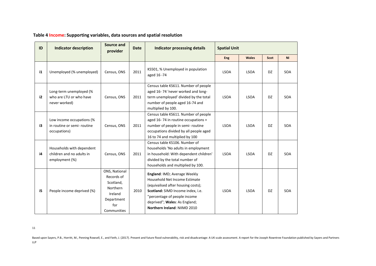| ID          | <b>Indicator description</b>                                             | <b>Source and</b><br>provider                                                                       | <b>Date</b> | Indicator processing details                                                                                                                                                                                                              |             | <b>Spatial Unit</b> |           |           |
|-------------|--------------------------------------------------------------------------|-----------------------------------------------------------------------------------------------------|-------------|-------------------------------------------------------------------------------------------------------------------------------------------------------------------------------------------------------------------------------------------|-------------|---------------------|-----------|-----------|
|             |                                                                          |                                                                                                     |             |                                                                                                                                                                                                                                           | <b>Eng</b>  | <b>Wales</b>        | Scot      | <b>NI</b> |
| $\mathbf i$ | Unemployed (% unemployed)                                                | Census, ONS                                                                                         | 2011        | KS501, % Unemployed in population<br>aged 16 -74                                                                                                                                                                                          | <b>LSOA</b> | <b>LSOA</b>         | <b>DZ</b> | SOA       |
| i2          | Long-term unemployed (%<br>who are LTU or who have<br>never worked)      | Census, ONS                                                                                         | 2011        | Census table KS611. Number of people<br>aged 16-74 'never worked and long-<br>term unemployed' divided by the total<br>number of people aged 16-74 and<br>multiplied by 100.                                                              | <b>LSOA</b> | <b>LSOA</b>         | <b>DZ</b> | SOA       |
| i3          | Low income occupations (%<br>in routine or semi- routine<br>occupations) | Census, ONS                                                                                         | 2011        | Census table KS611. Number of people<br>aged 16-74 in routine occupations +<br>number of people in semi- routine<br>occupations divided by all people aged<br>16 to 74 and multiplied by 100                                              | <b>LSOA</b> | <b>LSOA</b>         | DZ.       | SOA       |
| i4          | Households with dependent<br>children and no adults in<br>employment (%) | Census, ONS                                                                                         | 2011        | Census table KS106. Number of<br>households 'No adults in employment<br>in household: With dependent children'<br>divided by the total number of<br>households and multiplied by 100.                                                     | <b>LSOA</b> | <b>LSOA</b>         | DZ.       | SOA       |
| i5          | People income deprived (%)                                               | ONS, National<br>Records of<br>Scotland,<br>Northern<br>Ireland<br>Department<br>for<br>Communities | 2010        | England: IMD; Average Weekly<br>Household Net Income Estimate<br>(equivalised after housing costs);<br>Scotland: SIMD Income index, i.e.<br>"percentage of people income<br>deprived"; Wales: As England;<br>Northern Ireland: NIIMD 2010 | <b>LSOA</b> | <b>LSOA</b>         | DZ        | SOA       |

#### **Table 4 Income: Supporting variables, data sources and spatial resolution**

11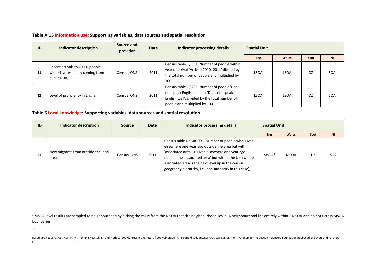#### **Table A.15 Information use: Supporting variables, data sources and spatial resolution**

| ID | Indicator description                                                              | Source and<br>provider | <b>Date</b> | Indicator processing details                                                                                                                                                | <b>Spatial Unit</b> |              |      |                |
|----|------------------------------------------------------------------------------------|------------------------|-------------|-----------------------------------------------------------------------------------------------------------------------------------------------------------------------------|---------------------|--------------|------|----------------|
|    |                                                                                    |                        |             |                                                                                                                                                                             | <b>Eng</b>          | <b>Wales</b> | Scot | N <sub>l</sub> |
| f1 | Recent arrivals to UK (% people<br>with <1 yr residency coming from<br>outside UK) | Census, ONS            | 2011        | Census table QS801. Number of people within<br>year of arrival 'Arrived 2010-2011' divided by<br>the total number of people and multiplied by<br>100.                       | <b>LSOA</b>         | LSOA         | DZ   | SOA            |
| f2 | Level of proficiency in English                                                    | Census, ONS            | 2011        | Census table QS205. Number of people 'Does<br>not speak English at all' + 'Does not speak<br>English well', divided by the total number of<br>people and multiplied by 100. | <b>LSOA</b>         | <b>LSOA</b>  | DZ   | <b>SOA</b>     |

#### **Table 6 Local knowledge: Supporting variables, data sources and spatial resolution**

| ID | Indicator description                       | <b>Source</b> | Date | Indicator processing details                                                                                                                                                                                                                                                                                                               |                   | <b>Spatial Unit</b> |      |                |
|----|---------------------------------------------|---------------|------|--------------------------------------------------------------------------------------------------------------------------------------------------------------------------------------------------------------------------------------------------------------------------------------------------------------------------------------------|-------------------|---------------------|------|----------------|
|    |                                             |               |      |                                                                                                                                                                                                                                                                                                                                            | <b>Eng</b>        | <b>Wales</b>        | Scot | N <sub>1</sub> |
| k1 | New migrants from outside the local<br>area | Census, ONS   | 2011 | Census table UKMIG001. Number of people who 'Lived<br>elsewhere one year ago outside the area but within<br>'associated area" + 'Lived elsewhere one year ago<br>outside the 'associated area' but within the UK' (where<br>associated area is the next level up in the census<br>geography hierarchy, i.e. local authority in this case), | MSOA <sup>4</sup> | MSOA                | DZ   | <b>SOA</b>     |

<sup>4</sup> MSOA level results are sampled to neighbourhood by picking the value from the MSOA that the neighbourhood lies in. A neighbourhood lies entirely within 1 MSOA and do not t cross MSOA boundaries.

12

 $\overline{a}$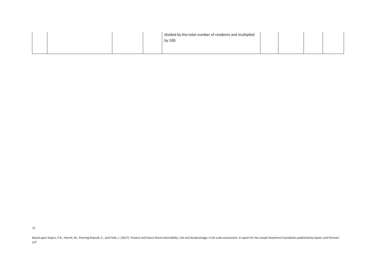|  |  | divided by the total number of residents and multiplied<br>by 100. |  |  |
|--|--|--------------------------------------------------------------------|--|--|
|  |  |                                                                    |  |  |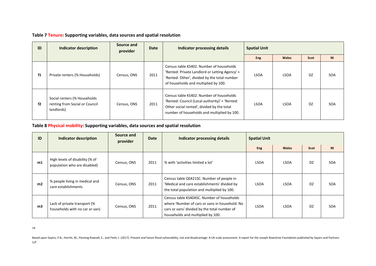|  | Table 7 Tenure: Supporting variables, data sources and spatial resolution |  |  |
|--|---------------------------------------------------------------------------|--|--|
|--|---------------------------------------------------------------------------|--|--|

| ID | Indicator description                                                        | Source and<br>provider | <b>Date</b> | Indicator processing details                                                                                                                                                            | <b>Spatial Unit</b> |              |           |                |
|----|------------------------------------------------------------------------------|------------------------|-------------|-----------------------------------------------------------------------------------------------------------------------------------------------------------------------------------------|---------------------|--------------|-----------|----------------|
|    |                                                                              |                        |             |                                                                                                                                                                                         | <b>Eng</b>          | <b>Wales</b> | Scot      | N <sub>l</sub> |
| f1 | Private renters (% Households)                                               | Census, ONS            | 2011        | Census table KS402. Number of households<br>'Rented: Private Landlord or Letting Agency' +<br>'Rented: Other', divided by the total number<br>of households and multiplied by 100.      | <b>LSOA</b>         | <b>LSOA</b>  | <b>DZ</b> | SOA            |
| f2 | Social renters (% Households<br>renting from Social or Council<br>landlords) | Census, ONS            | 2011        | Census table KS402. Number of households<br>'Rented: Council (Local authority)' + 'Rented:<br>Other social rented', divided by the total<br>number of households and multiplied by 100. | LSOA                | <b>LSOA</b>  | DZ.       | SOA            |

#### **Table 8 Physical mobility: Supporting variables, data sources and spatial resolution**

| ID             | Indicator description                                           | Source and<br>provider | <b>Date</b> | Indicator processing details                                                                                                                                                      | <b>Spatial Unit</b> |              |      |                |
|----------------|-----------------------------------------------------------------|------------------------|-------------|-----------------------------------------------------------------------------------------------------------------------------------------------------------------------------------|---------------------|--------------|------|----------------|
|                |                                                                 |                        |             |                                                                                                                                                                                   | <b>Eng</b>          | <b>Wales</b> | Scot | N <sub>1</sub> |
| m1             | High levels of disability (% of<br>population who are disabled) | Census, ONS            | 2011        | % with 'activities limited a lot'                                                                                                                                                 | <b>LSOA</b>         | <b>LSOA</b>  | DZ   | SOA            |
| m <sub>2</sub> | % people living in medical and<br>care establishments           | Census, ONS            | 2011        | Census table QS421SC. Number of people in<br>'Medical and care establishments' divided by<br>the total population and multiplied by 100.                                          | <b>LSOA</b>         | <b>LSOA</b>  | DZ   | SOA            |
| m3             | Lack of private transport (%<br>households with no car or van)  | Census, ONS            | 2011        | Census table KS404SC. Number of households<br>where 'Number of cars or vans in household: No<br>cars or vans' divided by the total number of<br>households and multiplied by 100. | <b>LSOA</b>         | <b>LSOA</b>  | DZ   | SOA            |

14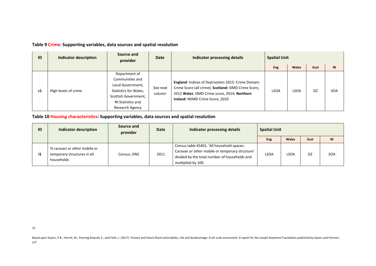#### **Table 9 Crime: Supporting variables, data sources and spatial resolution**

| ID | Indicator description | Source and<br>provider                                                                                                                         | <b>Date</b>        | Indicator processing details                                                                                                                                                                    | <b>Spatial Unit</b> |              |           |                |
|----|-----------------------|------------------------------------------------------------------------------------------------------------------------------------------------|--------------------|-------------------------------------------------------------------------------------------------------------------------------------------------------------------------------------------------|---------------------|--------------|-----------|----------------|
|    |                       |                                                                                                                                                |                    |                                                                                                                                                                                                 | <b>Eng</b>          | <b>Wales</b> | Scot      | N <sub>l</sub> |
| c1 | High levels of crime  | Department of<br>Communities and<br>Local Government,<br>Statistics for Wales,<br>Scottish Government,<br>NI Statistics and<br>Research Agency | See next<br>column | England: Indices of Deprivation 2015: Crime Domain:<br>Crime Score (all crime); Scotland: SIMD Crime Score,<br>2012 Wales: SIMD Crime score, 2014; Northern<br>Ireland: NIIMD Crime Score, 2010 | <b>LSOA</b>         | LSOA         | <b>DZ</b> | <b>SOA</b>     |

#### **Table 10 Housing characteristics: Supporting variables, data sources and spatial resolution**

| ID | Indicator description                                                     | Source and<br>provider | <b>Date</b> | Indicator processing details                                                                                                                                         | <b>Spatial Unit</b> |       |      |                |
|----|---------------------------------------------------------------------------|------------------------|-------------|----------------------------------------------------------------------------------------------------------------------------------------------------------------------|---------------------|-------|------|----------------|
|    |                                                                           |                        |             |                                                                                                                                                                      | Eng                 | Wales | Scot | N <sub>l</sub> |
| I1 | % caravan or other mobile or<br>temporary structures in all<br>households | Census, ONS            | 2011        | Census table KS401. 'All household spaces:<br>Caravan or other mobile or temporary structure'<br>divided by the total number of households and<br>multiplied by 100. | <b>LSOA</b>         | LSOA  | DZ   | SOA            |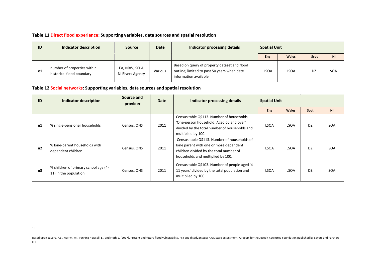## **Table 11 Direct flood experience: Supporting variables, data sources and spatial resolution**

| ID | Indicator description                                    | Source                             | <b>Date</b> | Indicator processing details                                                                                         | <b>Spatial Unit</b> |              |      |            |
|----|----------------------------------------------------------|------------------------------------|-------------|----------------------------------------------------------------------------------------------------------------------|---------------------|--------------|------|------------|
|    |                                                          |                                    |             |                                                                                                                      | Eng                 | <b>Wales</b> | Scot | <b>NI</b>  |
| e1 | number of properties within<br>historical flood boundary | EA, NRW, SEPA,<br>NI Rivers Agency | Various     | Based on query of property dataset and flood<br>outline; limited to past 50 years when date<br>information available | LSOA                | <b>LSOA</b>  | DZ   | <b>SOA</b> |

**Table 12 Social networks: Supporting variables, data sources and spatial resolution**

| ID             | Indicator description                                         | Source and<br>provider | Date | Indicator processing details                                                                                                                                          | <b>Spatial Unit</b> |              |                |                |
|----------------|---------------------------------------------------------------|------------------------|------|-----------------------------------------------------------------------------------------------------------------------------------------------------------------------|---------------------|--------------|----------------|----------------|
|                |                                                               |                        |      |                                                                                                                                                                       | <b>Eng</b>          | <b>Wales</b> | Scot           | N <sub>1</sub> |
| n1             | % single-pensioner households                                 | Census, ONS            | 2011 | Census table QS113. Number of households<br>'One-person household: Aged 65 and over'<br>divided by the total number of households and<br>multiplied by 100.           | <b>LSOA</b>         | LSOA         | DZ             | SOA            |
| n2             | % lone-parent households with<br>dependent children           | Census, ONS            | 2011 | Census table QS113. Number of households of<br>lone parent with one or more dependent<br>children divided by the total number of<br>households and multiplied by 100. | <b>LSOA</b>         | LSOA         | D <sub>7</sub> | <b>SOA</b>     |
| n <sub>3</sub> | % children of primary school age (4-<br>11) in the population | Census, ONS            | 2011 | Census table QS103. Number of people aged '4-<br>11 years' divided by the total population and<br>multiplied by 100.                                                  | <b>LSOA</b>         | LSOA         | DZ             | SOA            |

16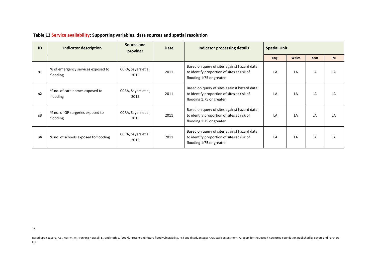| ID | <b>Indicator description</b>                   | Source and<br>provider      | <b>Date</b> | Indicator processing details                                                                                          | <b>Spatial Unit</b> |       |      |                |
|----|------------------------------------------------|-----------------------------|-------------|-----------------------------------------------------------------------------------------------------------------------|---------------------|-------|------|----------------|
|    |                                                |                             |             |                                                                                                                       | <b>Eng</b>          | Wales | Scot | N <sub>l</sub> |
| s1 | % of emergency services exposed to<br>flooding | CCRA, Sayers et al,<br>2015 | 2011        | Based on query of sites against hazard data<br>to identify proportion of sites at risk of<br>flooding 1:75 or greater | LA                  | LA    | LA   | LA             |
| s2 | % no. of care homes exposed to<br>flooding     | CCRA, Sayers et al,<br>2015 | 2011        | Based on query of sites against hazard data<br>to identify proportion of sites at risk of<br>flooding 1:75 or greater | LA                  | LA    | LA   | ΙA             |
| s3 | % no. of GP surgeries exposed to<br>flooding   | CCRA, Sayers et al,<br>2015 | 2011        | Based on query of sites against hazard data<br>to identify proportion of sites at risk of<br>flooding 1:75 or greater | LA                  | LA    | LA   | ΙA             |
| s4 | % no. of schools exposed to flooding           | CCRA, Sayers et al,<br>2015 | 2011        | Based on query of sites against hazard data<br>to identify proportion of sites at risk of<br>flooding 1:75 or greater | LA                  | LA    | LA   | ΙA             |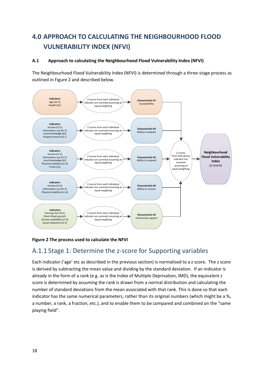# <span id="page-19-0"></span>**4.0 APPROACH TO CALCULATING THE NEIGHBOURHOOD FLOOD VULNERABILITY INDEX (NFVI)**

#### **A.1 Approach to calculating the Neighbourhood Flood Vulnerability Index (NFVI)**

The Neighbourhood Flood Vulnerability Index (NFVI) is determined through a three-stage process as outlined in Figure 2 and described below.



#### **Figure 2 The process used to calculate the NFVI**

# A.1.1 Stage 1: Determine the z-score for Supporting variables

Each indicator ('age' etc as described in the previous section) is normalised to a z score. The z score is derived by subtracting the mean value and dividing by the standard deviation. If an indicator is already in the form of a rank (e.g. as is the Index of Multiple Deprivation, IMD), the equivalent z score is determined by assuming the rank is drawn from a normal distribution and calculating the number of standard deviations from the mean associated with that rank. This is done so that each indicator has the same numerical parameters, rather than its original numbers (which might be a %, a number, a rank, a fraction, etc.), and to enable them to be compared and combined on the "same playing field".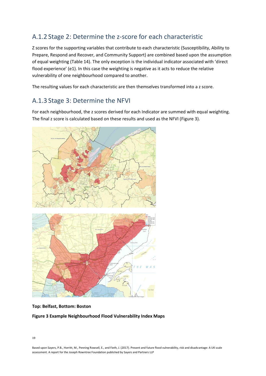# A.1.2 Stage 2: Determine the z-score for each characteristic

Z scores for the supporting variables that contribute to each characteristic (Susceptibility, Ability to Prepare, Respond and Recover, and Community Support) are combined based upon the assumption of equal weighting (Table 14). The only exception is the individual indicator associated with 'direct flood experience' (e1). In this case the weighting is negative as it acts to reduce the relative vulnerability of one neighbourhood compared to another.

The resulting values for each characteristic are then themselves transformed into a z score.

# A.1.3 Stage 3: Determine the NFVI

For each neighbourhood, the z scores derived for each Indicator are summed with equal weighting. The final z score is calculated based on these results and used as the NFVI (Figure 3).



#### **Top: Belfast, Bottom: Boston**

#### **Figure 3 Example Neighbourhood Flood Vulnerability Index Maps**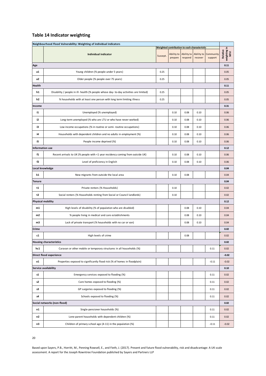## **Table 14 Indicator weighting**

| Neighbourhood Flood Vulnerability: Weighting of individual indicators |                                                                                       |      |                                              |         |         |                                            |                                  |  |  |
|-----------------------------------------------------------------------|---------------------------------------------------------------------------------------|------|----------------------------------------------|---------|---------|--------------------------------------------|----------------------------------|--|--|
|                                                                       |                                                                                       |      | Weighted contribution to each characteristic |         |         |                                            |                                  |  |  |
|                                                                       | <b>Individual indicator</b>                                                           |      | Ability to<br>prepare                        | respond | recover | Ability to Ability to Community<br>support | weighting in<br>NFVI<br>Relative |  |  |
| Age                                                                   |                                                                                       |      |                                              |         |         |                                            |                                  |  |  |
| a1                                                                    | Young children (% people under 5 years)                                               | 0.25 |                                              |         |         |                                            | 0.05                             |  |  |
| a2                                                                    | Older people (% people over 75 years)                                                 | 0.25 |                                              |         |         |                                            | 0.05                             |  |  |
| Health                                                                |                                                                                       |      |                                              |         |         |                                            |                                  |  |  |
| h1                                                                    | Disability / people in ill- health (% people whose day-to-day activities are limited) | 0.25 |                                              |         |         |                                            | 0.05                             |  |  |
| h2                                                                    | % households with at least one person with long term limiting illness                 | 0.25 |                                              |         |         |                                            | 0.05                             |  |  |
| Income                                                                |                                                                                       |      |                                              |         |         |                                            | 0.31                             |  |  |
| i1                                                                    | Unemployed (% unemployed)                                                             |      | 0.10                                         | 0.08    | 0.10    |                                            | 0.06                             |  |  |
| i2                                                                    | Long-term unemployed (% who are LTU or who have never worked)                         |      | 0.10                                         | 0.08    | 0.10    |                                            | 0.06                             |  |  |
| i3                                                                    | Low income occupations (% in routine or semi- routine occupations)                    |      | 0.10                                         | 0.08    | 0.10    |                                            | 0.06                             |  |  |
| j4                                                                    | Households with dependent children and no adults in employment (%)                    |      | 0.10                                         | 0.08    | 0.10    |                                            | 0.06                             |  |  |
| i5                                                                    | People income deprived (%)                                                            |      | 0.10                                         | 0.08    | 0.10    |                                            | 0.06                             |  |  |
| nformation use                                                        |                                                                                       |      |                                              |         |         |                                            | 0.12                             |  |  |
| f1                                                                    | Recent arrivals to UK (% people with <1 year residency coming from outside UK)        |      | 0.10                                         | 0.08    | 0.10    |                                            | 0.06                             |  |  |
| f2                                                                    | Level of proficiency in English                                                       |      | 0.10                                         | 0.08    | 0.10    |                                            | 0.06                             |  |  |
| Local knowledge                                                       |                                                                                       |      |                                              |         |         |                                            |                                  |  |  |
| k1                                                                    | New migrants from outside the local area                                              |      | 0.10                                         | 0.08    |         |                                            | 0.04                             |  |  |
| Tenure                                                                |                                                                                       |      |                                              |         |         |                                            | 0.04                             |  |  |
| t1                                                                    | Private renters (% Households)                                                        |      | 0.10                                         |         |         |                                            | 0.02                             |  |  |
| t2                                                                    | Social renters (% Households renting from Social or Council landlords)                |      | 0.10                                         |         |         |                                            | 0.02                             |  |  |
| Physical mobility                                                     |                                                                                       |      |                                              |         |         |                                            | 0.12                             |  |  |
| m1                                                                    | High levels of disability (% of population who are disabled)                          |      |                                              | 0.08    | 0.10    |                                            | 0.04                             |  |  |
| m2                                                                    | % people living in medical and care establishments                                    |      |                                              | 0.08    | 0.10    |                                            | 0.04                             |  |  |
| m3                                                                    | Lack of private transport (% households with no car or van)                           |      |                                              | 0.08    | 0.10    |                                            | 0.04                             |  |  |
| Crime                                                                 |                                                                                       |      |                                              |         |         |                                            | 0.02                             |  |  |
| c1                                                                    | High levels of crime                                                                  |      |                                              | 0.08    |         |                                            | 0.02                             |  |  |
|                                                                       | <b>Housing characteristics</b>                                                        |      |                                              |         |         |                                            | 0.02                             |  |  |
| hc1                                                                   | Caravan or other mobile or temporary structures in all households (%)                 |      |                                              |         |         | 0.11                                       | 0.02                             |  |  |
|                                                                       | Direct flood experience                                                               |      |                                              |         |         |                                            | $-0.02$                          |  |  |
| e1                                                                    | Properties exposed to significantly flood risk (% of homes in floodplain)             |      |                                              |         |         | $-0.11$                                    | $-0.02$                          |  |  |
|                                                                       | Service availability                                                                  |      |                                              |         |         |                                            | 0.10                             |  |  |
| s1                                                                    | Emergency services exposed to flooding (%)                                            |      |                                              |         |         | 0.11                                       | 0.02                             |  |  |
| s2                                                                    | Care homes exposed to flooding (%)                                                    |      |                                              |         |         | 0.11                                       | 0.02                             |  |  |
| s3                                                                    | GP surgeries exposed to flooding (%)                                                  |      |                                              |         |         | 0.11                                       | 0.02                             |  |  |
| s4                                                                    | Schools exposed to flooding (%)                                                       |      |                                              |         |         | 0.11                                       | 0.02                             |  |  |
|                                                                       | Social networks (non-flood)                                                           |      |                                              |         |         |                                            | 0.02                             |  |  |
| n1                                                                    | Single-pensioner households (%)                                                       |      |                                              |         |         | 0.11                                       | 0.02                             |  |  |
| n2                                                                    | Lone-parent households with dependent children (%)                                    |      |                                              |         |         | 0.11                                       | 0.02                             |  |  |
| nЗ                                                                    | Children of primary school age (4-11) in the population (%)                           |      |                                              |         |         | $-0.11$                                    | $-0.02$                          |  |  |
|                                                                       |                                                                                       |      |                                              |         |         |                                            |                                  |  |  |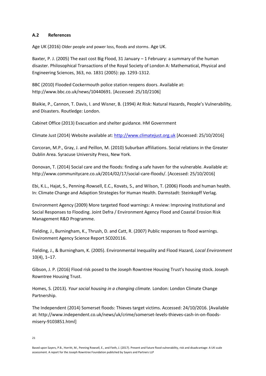#### **A.2 References**

Age UK (2016) Older people and power loss, floods and storms. Age UK.

Baxter, P. J. (2005) The east cost Big Flood, 31 January – 1 February: a summary of the human disaster. Philosophical Transactions of the Royal Society of London A: Mathematical, Physical and Engineering Sciences, 363, no. 1831 (2005): pp. 1293-1312.

BBC (2010) Flooded Cockermouth police station reopens doors. Available at: [http://www.bbc.co.uk/news/10440691.](http://www.bbc.co.uk/news/10440691) [Accessed: 25/10/2106]

Blaikie, P., Cannon, T. Davis, I. and Wisner, B. (1994) At Risk: Natural Hazards, People's Vulnerability, and Disasters. Routledge: London.

Cabinet Office (2013) Evacuation and shelter guidance. HM Government

Climate Just (2014) Website available at: [http://www.climatejust.org.uk](http://www.climatejust.org.uk/) [Accessed: 25/10/2016]

Corcoran, M.P., Gray, J. and Peillon, M. (2010) Suburban affiliations. Social relations in the Greater Dublin Area. Syracuse University Press, New York.

Donovan, T. (2014) Social care and the floods: finding a safe haven for the vulnerable. Available at: [http://www.communitycare.co.uk/2014/02/17/social-care-floods/.](http://www.communitycare.co.uk/2014/02/17/social-care-floods/) [Accessed: 25/10/2016]

Ebi, K.L., Hajat, S., Penning-Rowsell, E.C., Kovats, S., and Wilson, T. (2006) Floods and human health. In: Climate Change and Adaption Strategies for Human Health. Darmstadt: Steinkopff Verlag.

Environment Agency (2009) More targeted flood warnings: A review: Improving Institutional and Social Responses to Flooding. Joint Defra / Environment Agency Flood and Coastal Erosion Risk Management R&D Programme.

Fielding, J., Burningham, K., Thrush, D. and Catt, R. (2007) Public responses to flood warnings. Environment Agency Science Report SC020116.

Fielding, J., & Burningham, K. (2005). Environmental Inequality and Flood Hazard, *Local Environment*  10(4), 1–17.

Gibson, J. P. (2016) Flood risk posed to the Joseph Rowntree Housing Trust's housing stock. Joseph Rowntree Housing Trust.

Homes, S. (2013). *Your social housing in a changing climate.* London: London Climate Change Partnership.

The Independent (2014) Somerset floods: Thieves target victims. Accessed: 24/10/2016. [Available at: [http://www.independent.co.uk/news/uk/crime/somerset-levels-thieves-cash-in-on-floods](http://www.independent.co.uk/news/uk/crime/somerset-levels-thieves-cash-in-on-floods-misery-9103851.html)[misery-9103851.html\]](http://www.independent.co.uk/news/uk/crime/somerset-levels-thieves-cash-in-on-floods-misery-9103851.html)

21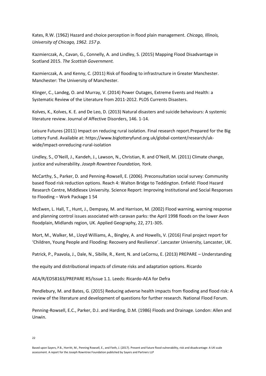Kates, R.W. (1962) Hazard and choice perception in flood plain management*. Chicago, Illinois, University of Chicago, 1962. 157 p.*

Kazmierczak, A., Cavan, G., Connelly, A. and Lindley, S. (2015) Mapping Flood Disadvantage in Scotland 2015. *The Scottish Government.* 

Kazmierczak, A. and Kenny, C. (2011) Risk of flooding to infrastructure in Greater Manchester. Manchester: The University of Manchester.

Klinger, C., Landeg, O. and Murray, V. (2014) Power Outages, Extreme Events and Health: a Systematic Review of the Literature from 2011-2012. PLOS Currents Disasters.

Kolves, K., Kolves, K. E. and De Leo, D. (2013) Natural disasters and suicide behaviours: A systemic literature review. Journal of Affective Disorders, 146. 1-14.

Leisure Futures (2011) Impact on reducing rural isolation. Final research report.Prepared for the Big Lottery Fund. Available at: https://www.biglotteryfund.org.uk/global-content/research/ukwide/impact-onreducing-rural-isolation

Lindley, S., O'Neill, J., Kandeh, J., Lawson, N., Christian, R. and O'Neill, M. (2011) Climate change, justice and vulnerability. *Joseph Rowntree Foundation, York.* 

McCarthy, S., Parker, D. and Penning-Rowsell, E. (2006). Preconsultation social survey: Community based flood risk reduction options. Reach 4: Walton Bridge to Teddington. Enfield: Flood Hazard Research Centre, Middlesex University. Science Report: Improving Institutional and Social Responses to Flooding – Work Package 1 54

McEwen, L. Hall, T., Hunt, J., Dempsey, M. and Harrison, M. (2002) Flood warning, warning response and planning control issues associated with caravan parks: the April 1998 floods on the lower Avon floodplain, Midlands region, UK. Applied Geography, 22, 271-305.

Mort, M., Walker, M., Lloyd Williams, A., Bingley, A. and Howells, V. (2016) Final project report for 'Children, Young People and Flooding: Recovery and Resilience'. Lancaster University, Lancaster, UK.

Patrick, P., Paavola, J., Dale, N., Sibille, R., Kent, N. and LeCornu, E. (2013) PREPARE – Understanding

the equity and distributional impacts of climate risks and adaptation options. Ricardo

AEA/R/ED58163/PREPARE R5/Issue 1.1. Leeds: Ricardo-AEA for Defra

Pendlebury, M. and Bates, G. (2015) Reducing adverse health impacts from flooding and flood risk: A review of the literature and development of questions for further research. National Flood Forum.

Penning-Rowsell, E.C., Parker, D.J. and Harding, D.M. (1986) Floods and Drainage. London: Allen and Unwin.

22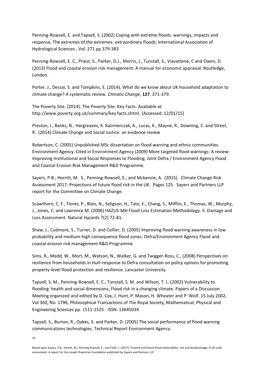Penning-Rowsell, E. and Tapsell, S. (2002) Coping with extreme floods: warnings, impacts and response, The extremes of the extremes: extraordinary floods, International Association of Hydrological Sciences , Vol. 271 pp 379-383

Penning-Rowsell, E. C., Priest, S., Parker, D.J., Morris, J., Tunstall, S., Viavattene, C and Owen, D. (2013) Flood and coastal erosion risk management: A manual for economic appraisal. Routledge, London.

Porter, J., Dessai, S. and Tompkins, E. (2014). What do we know about UK household adaptation to climate change? A systematic review. *Climatic Change,* **127**, 371-379.

The Poverty Site. (2014). The Poverty Site: Key Facts. Available at: [http://www.poverty.org.uk/summary/key facts.shtml.](http://www.poverty.org.uk/summary/key%20facts.shtml) [Accessed: 12/01/15]

Preston, I., Banks, N., Hargreaves, K. Kazmierczak, A., Lucas, K., Mayne, R., Downing, C. and Street, R. (2014) [Climate Change and Social Justice: an evidence review](https://www.jrf.org.uk/report/climate-change-and-social-justice-evidence-review)

Robertson, C. (2005) Unpublished MSc dissertation on flood warning and ethnic communities. Environment Agency. Cited in Environment Agency (2009) More targeted flood warnings: A review: Improving Institutional and Social Responses to Flooding. Joint Defra / Environment Agency Flood and Coastal Erosion Risk Management R&D Programme.

Sayers, P.B., Horritt, M. S., Penning-Rowsell, E., and Mckenzie, A. (2015). [Climate Change Risk](https://www.theccc.org.uk/publication/sayers-for-the-asc-projections-of-future-flood-risk-in-the-uk/)  [Assessment 2017: Projections of future flood risk in the UK.](https://www.theccc.org.uk/publication/sayers-for-the-asc-projections-of-future-flood-risk-in-the-uk/) Pages 125. Sayers and Partners LLP report for the Committee on Climate Change.

Scawthorn, C. F., Flores, P., Blais, N., Seligson, H., Tate, E., Chang, S., Mifflin, E., Thomas, W., Murphy, J., Jones, C. and Lawrence M. (2006) HAZUS-MH Flood Loss Estimation Methodology. II. Damage and Loss Assessment. Natural Hazards 7(2) 72-81.

Shaw, J., Cudmore, S., Turner, D. and Collier, D. (2005) Improving flood warning awareness in low probability and medium-high consequence flood zones. Defra/Environment Agency Flood and coastal erosion risk management R&D Programme

Sims, R., Medd, W., Mort, M., Watson, N., Walker, G. and Twigger-Ross, C., (2008) Perspectives on resilience from households in Hull–response to Defra consultation on policy options for promoting property-level flood protection and resilience. Lancaster University.

Tapsell, S. M., Penning-Rowsell, E. C., Tunstall, S. M. and Wilson, T. L. (2002) Vulnerability to flooding: health and social dimensions, Flood risk in a changing climate. Papers of a Discussion Meeting organized and edited by D. Cox, J. Hunt, P. Mason, H. Wheater and P. Wolf. 15 July 2002, Vol 360, No. 1796, Philosophical Transactions of The Royal Society, Mathematical, Physical and Engineering Sciences pp. 1511-1525 - ISSN: 1364503X

Tapsell, S., Burton, R., Oakes, S. and Parker, D. (2005) The social performance of flood warning communications technologies. Technical Report Environment Agency.

23